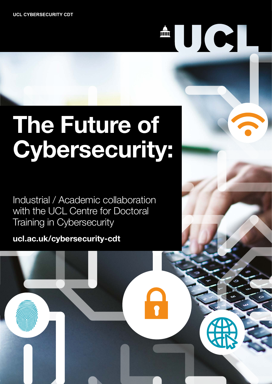# 

# **The Future of Cybersecurity:**

Industrial / Academic collaboration with the UCL Centre for Doctoral Training in Cybersecurity

**[ucl.ac.uk/cybersecurity-cdt](http://ucl.ac.uk/cybersecurity-cdt)**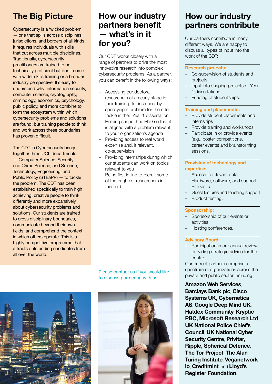# **The Big Picture**

Cybersecurity is a 'wicked problem' — one that spills across disciplines, jurisdictions, and borders of all kinds. It requires individuals with skills that cut across multiple disciplines. Traditionally, cybersecurity practitioners are trained to be technically proficient but don't come with wider skills training or a broader industry perspective. It's easy to understand why: information security, computer science, cryptography, criminology, economics, psychology, public policy, and more combine to form the ecosystem within which cybersecurity problems and solutions are found; but training people to think and work across these boundaries has proven difficult.

The CDT in Cybersecurity brings together three UCL departments — Computer Science, Security and Crime Science, and Science, Technology, Engineering, and Public Policy (STEaPP) — to tackle the problem. The CDT has been established specifically to train high achieving, creative people to think differently and more expansively about cybersecurity problems and solutions. Our students are trained to cross disciplinary boundaries, communicate beyond their own fields, and comprehend the context in which others operate. This is a highly competitive programme that attracts outstanding candidates from all over the world.

# **How our industry partners benefit — what's in it for you?**

Our CDT works closely with a range of partners to drive the most innovative research into complex cybersecurity problems. As a partner, you can benefit in the following ways:

- Accessing our doctoral researchers at an early stage in their training, for instance, by specifying a problem for them to tackle in their Year 1 dissertation
- Helping shape their PhD so that it is aligned with a problem relevant to your organization's agenda
- Providing access to real world expertise and, if relevant, co-supervision
- Providing internships during which our students can work on topics relevant to you
- Being first in line to recruit some of the brightest researchers in this field

Please contact us if you would like to discuss partnering with us.





# **How our industry partners contribute**

Our partners contribute in many different ways. We are happy to discuss all types of input into the work of the CDT:

#### **Research projects:**

- Co‐supervision of students and projects
- Input into shaping projects or Year 1 dissertations
- Funding of studentships.

#### **Training and placements:**

- Provide student placements and internships
- Provide training and workshops
- Participate in or provide events (e.g., poster competitions, career events) and brainstorming sessions.

#### **Provision of technology and expertise:**

- Access to relevant data
- Hardware, software, and support
- Site visits
- Guest lectures and teaching support
- Product testing.

#### **Sponsorship:**

- Sponsorship of our events or activities
- Hosting conferences.

#### **Advisory Board:**

– Participation in our annual review, providing strategic advice for the centre.

Our current partners comprise a spectrum of organizations across the private and public sector including

**Amazon Web Services**, **Barclays Bank plc**, **Cisco Systems UK, Cybernetica AS**, **Google Deep Mind UK**, **Hatdex Community**, **Kryptic PBC, Microsoft Research Ltd**, **UK National Police Chief's Council**, **UK National Cyber Security Centre**, **Privitar, Ripple, Spherical Defence**, **The Tor Project**, **The Alan Turing Institute**, **Veganetwork io**, **Creditmint**, and **Lloyd's Register Foundation**.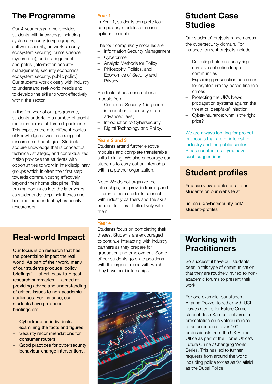# **The Programme**

Our 4-year programme provides students with knowledge including systems security, (cryptography, software security, network security, ecosystem security), crime science (cybercrime), and management and policy (information security management, security economics, ecosystem security, public policy). Our students work closely with industry to understand real-world needs and to develop the skills to work effectively within the sector.

In the first year of our programme, students undertake a number of taught modules across all three departments. This exposes them to different bodies of knowledge as well as a range of research methodologies. Students acquire knowledge that is conceptual, technical, strategic, and contextualized. It also provides the students with opportunities to work in interdisciplinary groups which is often their first step towards communicating effectively beyond their home discipline. This training continues into the later years, as students develop their theses and become independent cybersecurity researchers.

#### **Year 1**

In Year 1, students complete four compulsory modules plus one optional module.

The four compulsory modules are:

- Information Security Management
- Cybercrime
- Analytic Methods for Policy
- Philosophy, Politics, and Economics of Security and Privacy.

Students choose one optional module from:

- Computer Security 1 (a general introduction to security at an advanced level)
- Introduction to Cybersecurity
- Digital Technology and Policy.

#### **Years 2 and 3**

Students attend further elective modules and complete transferable skills training. We also encourage our students to carry out an internship within a partner organization.

Note: We do not organize the internships, but provide training and forums to help students connect with industry partners and the skills needed to interact effectively with them.

#### **Year 4**

Students focus on completing their theses. Students are encouraged to continue interacting with industry partners as they prepare for graduation and employment. Some of our students go on to positions with the organizations with which they have held internships.



# **Student Case Studies**

Our students' projects range across the cybersecurity domain. For instance, current projects include:

- Detecting hate and analysing narratives of online fringe communities
- Explaining prosecution outcomes for cryptocurrency-based financial crimes
- Protecting the UK's News propagation systems against the threat of 'deepfake' injection
- Cyber-insurance: what is the right price?

We are always looking for project proposals that are of interest to industry and the public sector. Please contact us if you have such suggestions.

# **Student profiles**

You can view profiles of all our students on our website at

[ucl.ac.uk/cybersecurity-cdt/](http://ucl.ac.uk/cybersecurity-cdt/student-profiles) [student-profiles](http://ucl.ac.uk/cybersecurity-cdt/student-profiles)

# **Working with Practitioners**

So successful have our students been in this type of communication that they are routinely invited to nonacademic forums to present their work.

For one example, our student Arianna Trozze, together with UCL Dawes Centre for Future Crime student Josh Kamps, delivered a presentation on cryptocurrencies to an audience of over 100 professionals from the UK Home Office as part of the Home Office's Future Crime / Changing World Series. This has led to further requests from around the world including police forces as far afield as the Dubai Police.

# **Real-world Impact**

Our focus is on research that has the potential to impact the real world. As part of their work, many of our students produce 'policy briefings' — short, easy-to-digest research summaries — aimed at providing advice and understanding of critical issues to non-academic audiences. For instance, our students have produced briefings on:

- Cyberfraud on individuals examining the facts and figures
- Security recommendations for consumer routers
- Good practices for cybersecurity behaviour-change interventions.